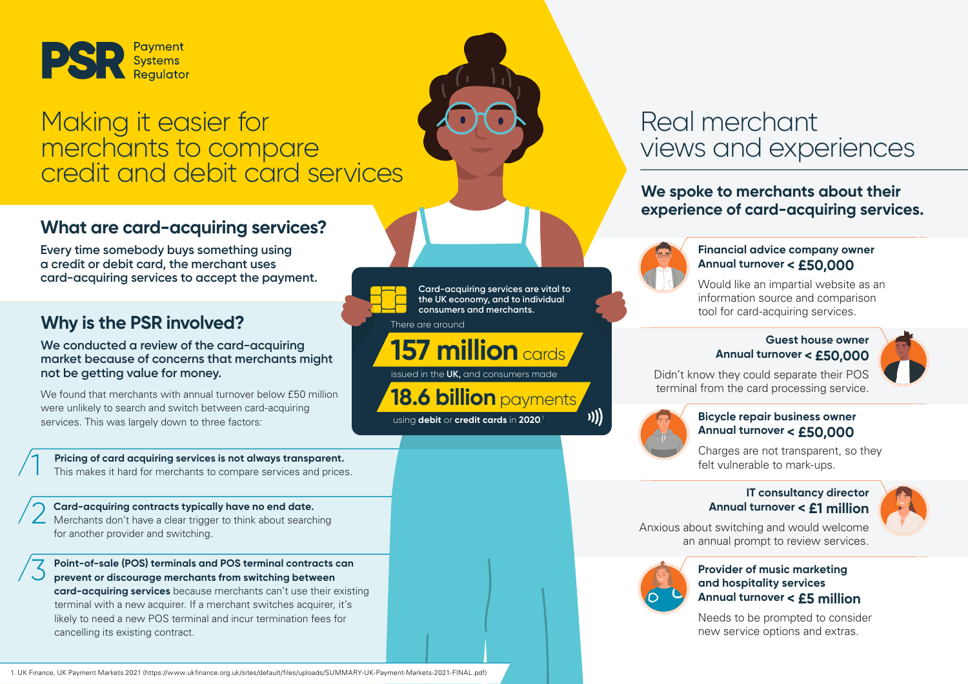

## Making it easier for merchants to compare credit and debit card services

### **What are card-acquiring services?**

**Every time somebody buys something using a credit or debit card, the merchant uses card-acquiring services to accept the payment.**

### **Why is the PSR involved?** There are around

**We conducted a review of the card-acquiring market because of concerns that merchants might not be getting value for money.** 

We found that merchants with annual turnover below £50 million were unlikely to search and switch between card-acquiring services. This was largely down to three factors:

**Pricing of card acquiring services is not always transparent.**<br>This makes it hard for merchants to compare services and prices.

**Card-acquiring contracts typically have no end date.**  Merchants don't have a clear trigger to think about searching for another provider and switching. 2

**Point-of-sale (POS) terminals and POS terminal contracts can prevent or discourage merchants from switching between card-acquiring services** because merchants can't use their existing terminal with a new acquirer. If a merchant switches acquirer, it's likely to need a new POS terminal and incur termination fees for cancelling its existing contract. 3

1. UK Finance, UK Payment Markets 2021 (https://www.ukfinance.org.uk/sites/default/files/uploads/SUMMARY-UK-Payment-Markets-2021-FINAL.pdf)

**Card-acquiring services are vital to the UK economy, and to individual consumers and merchants.** 

## **157 million**cards

issued in the **UK,** and consumers made

**18.6 billion** payments

using **debit** or **credit cards** in **2020**. 1

## Real merchant views and experiences

**We spoke to merchants about their experience of card-acquiring services.** 



#### **Financial advice company owner Annual turnover < £50,000**

Would like an impartial website as an information source and comparison tool for card-acquiring services.

#### **Guest house owner Annual turnover < £50,000**



Didn't know they could separate their POS terminal from the card processing service.



)))

#### **Bicycle repair business owner Annual turnover < £50,000**

Charges are not transparent, so they felt vulnerable to mark-ups.

#### **IT consultancy director Annual turnover < £1 million**



Anxious about switching and would welcome an annual prompt to review services.



#### **Provider of music marketing and hospitality services Annual turnover < £5 million**

Needs to be prompted to consider new service options and extras.